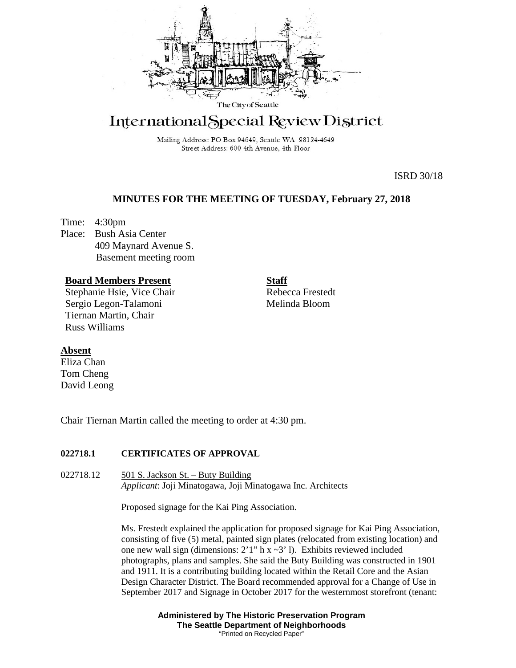

# International Special Review District

Mailing Address: PO Box 94649, Seattle WA 98124-4649 Street Address: 600 4th Avenue, 4th Floor

ISRD 30/18

# **MINUTES FOR THE MEETING OF TUESDAY, February 27, 2018**

Time: 4:30pm Place: Bush Asia Center 409 Maynard Avenue S. Basement meeting room

## **Board Members Present**

Stephanie Hsie, Vice Chair Sergio Legon-Talamoni Tiernan Martin, Chair Russ Williams

**Staff** Rebecca Frestedt Melinda Bloom

### **Absent**

Eliza Chan Tom Cheng David Leong

Chair Tiernan Martin called the meeting to order at 4:30 pm.

### **022718.1 CERTIFICATES OF APPROVAL**

022718.12 501 S. Jackson St. – Buty Building *Applicant*: Joji Minatogawa, Joji Minatogawa Inc. Architects

Proposed signage for the Kai Ping Association.

Ms. Frestedt explained the application for proposed signage for Kai Ping Association, consisting of five (5) metal, painted sign plates (relocated from existing location) and one new wall sign (dimensions:  $2'1''$  h x  $\sim 3'$  l). Exhibits reviewed included photographs, plans and samples. She said the Buty Building was constructed in 1901 and 1911. It is a contributing building located within the Retail Core and the Asian Design Character District. The Board recommended approval for a Change of Use in September 2017 and Signage in October 2017 for the westernmost storefront (tenant:

> **Administered by The Historic Preservation Program The Seattle Department of Neighborhoods** "Printed on Recycled Paper"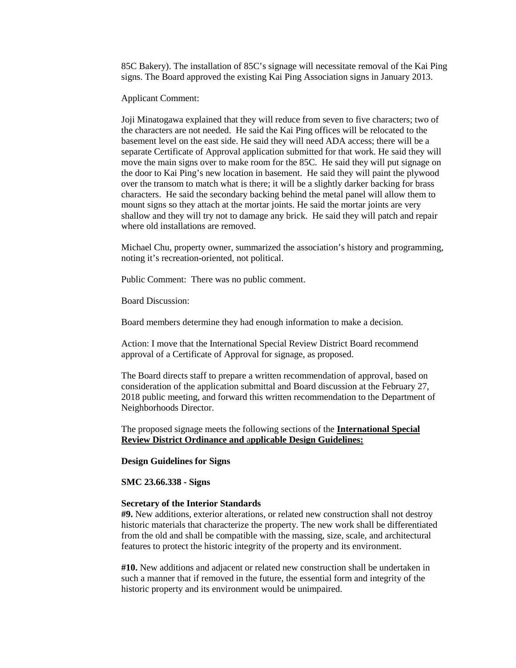85C Bakery). The installation of 85C's signage will necessitate removal of the Kai Ping signs. The Board approved the existing Kai Ping Association signs in January 2013.

Applicant Comment:

Joji Minatogawa explained that they will reduce from seven to five characters; two of the characters are not needed. He said the Kai Ping offices will be relocated to the basement level on the east side. He said they will need ADA access; there will be a separate Certificate of Approval application submitted for that work. He said they will move the main signs over to make room for the 85C. He said they will put signage on the door to Kai Ping's new location in basement. He said they will paint the plywood over the transom to match what is there; it will be a slightly darker backing for brass characters. He said the secondary backing behind the metal panel will allow them to mount signs so they attach at the mortar joints. He said the mortar joints are very shallow and they will try not to damage any brick. He said they will patch and repair where old installations are removed.

Michael Chu, property owner, summarized the association's history and programming, noting it's recreation-oriented, not political.

Public Comment: There was no public comment.

Board Discussion:

Board members determine they had enough information to make a decision.

Action: I move that the International Special Review District Board recommend approval of a Certificate of Approval for signage, as proposed.

The Board directs staff to prepare a written recommendation of approval, based on consideration of the application submittal and Board discussion at the February 27, 2018 public meeting, and forward this written recommendation to the Department of Neighborhoods Director.

The proposed signage meets the following sections of the **International Special Review District Ordinance and** a**pplicable Design Guidelines:**

**Design Guidelines for Signs** 

**SMC 23.66.338 - Signs**

#### **Secretary of the Interior Standards**

**#9.** New additions, exterior alterations, or related new construction shall not destroy historic materials that characterize the property. The new work shall be differentiated from the old and shall be compatible with the massing, size, scale, and architectural features to protect the historic integrity of the property and its environment.

**#10.** New additions and adjacent or related new construction shall be undertaken in such a manner that if removed in the future, the essential form and integrity of the historic property and its environment would be unimpaired.